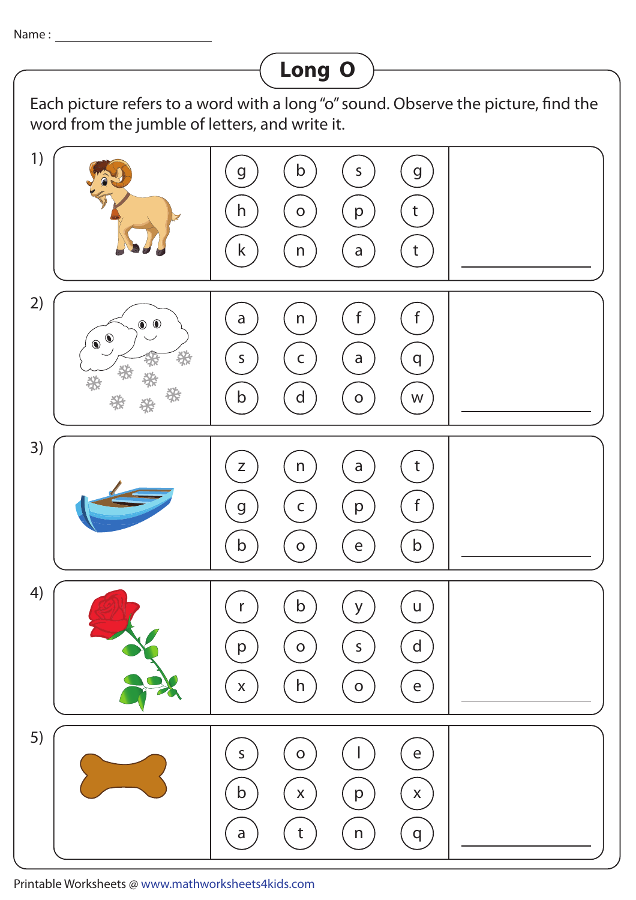Name :

## **Long O**Each picture refers to a word with a long "o" sound. Observe the picture, find the word from the jumble of letters, and write it. 1) g ) ( b ) ( s ) ( g h ) (o) (p) (t k) (n) (a) (t 2) a) (n) (f) (f ∩ ∩ s) (c) (a) (q b ) ( d ) ( o ) ( w 3) z) (n) (a) (t a g ) ( c ) ( p ) ( f b) (o) (e) (b 4) r ) (b) (y) (u p ) (o) (s) (d x) (h) (o) (e 5) s) (o) (l) (e b ) ( x ) ( p ) ( x a) (t) (n) (q

Printable Worksheets @ www.mathworksheets4kids.com